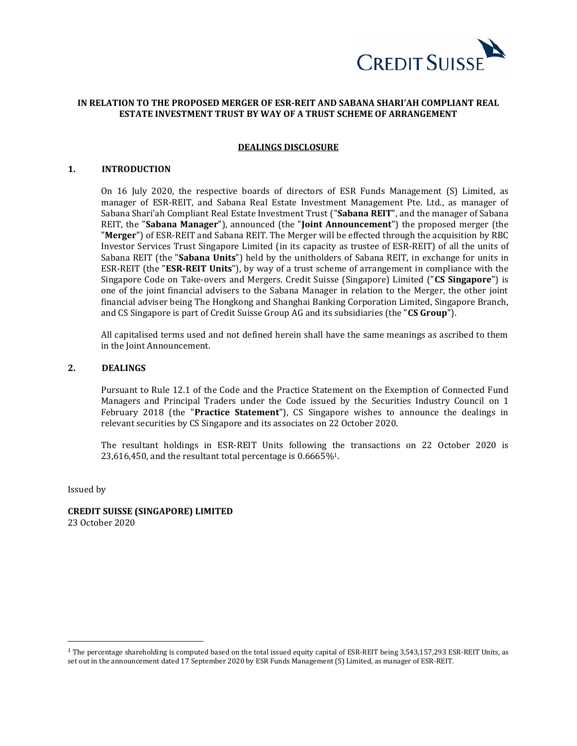

## **IN RELATION TO THE PROPOSED MERGER OF ESR-REIT AND SABANA SHARI'AH COMPLIANT REAL ESTATE INVESTMENT TRUST BY WAY OF A TRUST SCHEME OF ARRANGEMENT**

#### **DEALINGS DISCLOSURE**

### **1. INTRODUCTION**

On 16 July 2020, the respective boards of directors of ESR Funds Management (S) Limited, as manager of ESR-REIT, and Sabana Real Estate Investment Management Pte. Ltd., as manager of Sabana Shari'ah Compliant Real Estate Investment Trust ("**Sabana REIT**", and the manager of Sabana REIT, the "**Sabana Manager**"), announced (the "**Joint Announcement**") the proposed merger (the "**Merger**") of ESR-REIT and Sabana REIT. The Merger will be effected through the acquisition by RBC Investor Services Trust Singapore Limited (in its capacity as trustee of ESR-REIT) of all the units of Sabana REIT (the "**Sabana Units**") held by the unitholders of Sabana REIT, in exchange for units in ESR-REIT (the "**ESR-REIT Units**"), by way of a trust scheme of arrangement in compliance with the Singapore Code on Take-overs and Mergers. Credit Suisse (Singapore) Limited ("**CS Singapore**") is one of the joint financial advisers to the Sabana Manager in relation to the Merger, the other joint financial adviser being The Hongkong and Shanghai Banking Corporation Limited, Singapore Branch, and CS Singapore is part of Credit Suisse Group AG and its subsidiaries (the "**CS Group**").

All capitalised terms used and not defined herein shall have the same meanings as ascribed to them in the Joint Announcement.

## **2. DEALINGS**

Pursuant to Rule 12.1 of the Code and the Practice Statement on the Exemption of Connected Fund Managers and Principal Traders under the Code issued by the Securities Industry Council on 1 February 2018 (the "**Practice Statement**"), CS Singapore wishes to announce the dealings in relevant securities by CS Singapore and its associates on 22 October 2020.

The resultant holdings in ESR-REIT Units following the transactions on 22 October 2020 is 23,616,450, and the resultant total percentage is 0.6665%1.

Issued by

l

**CREDIT SUISSE (SINGAPORE) LIMITED** 23 October 2020

<sup>&</sup>lt;sup>1</sup> The percentage shareholding is computed based on the total issued equity capital of ESR-REIT being 3,543,157,293 ESR-REIT Units, as set out in the announcement dated 17 September 2020 by ESR Funds Management (S) Limited, as manager of ESR-REIT.